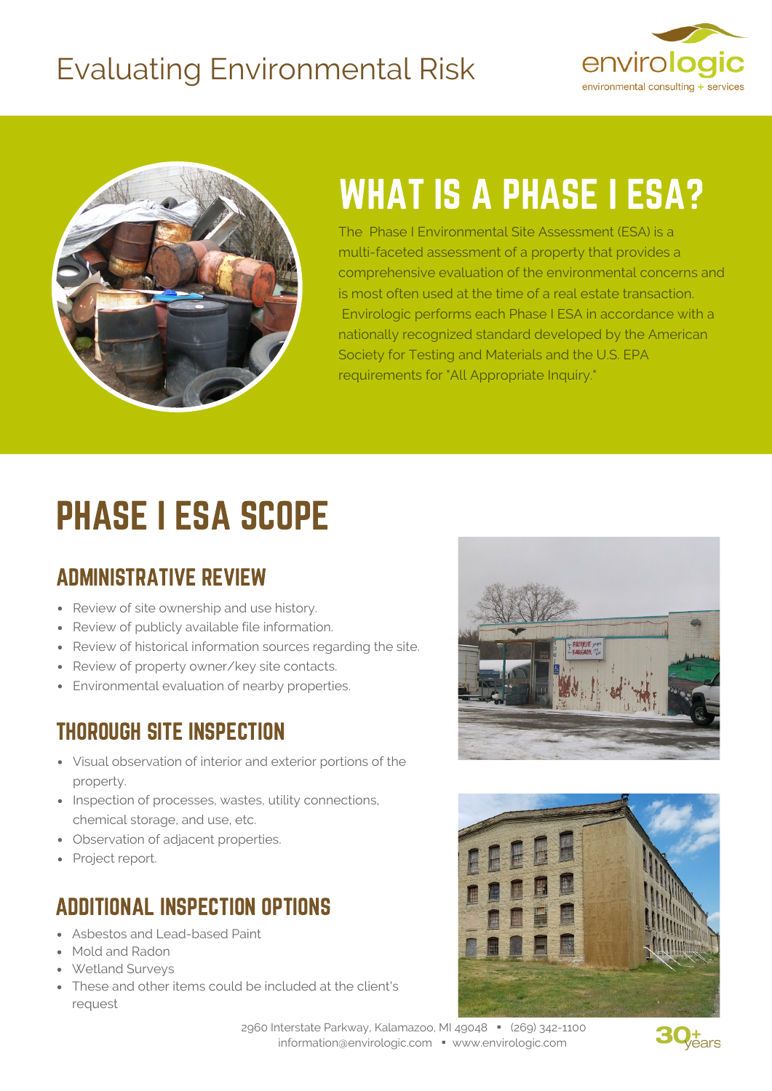### Evaluating Environmental Risk





# WHAT IS A PHASE I ESA?

The Phase I Environmental Site Assessment (ESA) is a multi-faceted assessment of a property that provides a comprehensive evaluation of the environmental concerns and is most often used at the time of a real estate transaction. Envirologic performs each Phase I ESA in accordance with a nationally recognized standard developed by the American Society for Testing and Materials and the U.S. EPA requirements for "All Appropriate Inquiry."

## PHASE I ESA SCOPE

#### ADMINISTRATIVE REVIEW

- Review of site ownership and use history.
- Review of publicly available file information.
- Review of historical information sources regarding the site.
- Review of property owner/key site contacts.
- Environmental evaluation of nearby properties.

#### THOROUGH SITE INSPECTION

- Visual observation of interior and exterior portions of the property.
- Inspection of processes, wastes, utility connections, chemical storage, and use, etc.
- Observation of adjacent properties.
- Project report.

#### ADDITIONAL INSPECTION OPTIONS

- Asbestos and Lead-based Paint
- Mold and Radon
- Wetland Surveys
- These and other items could be included at the client's request





<sup>2960</sup> Interstate Parkway, Kalamazoo, MI <sup>49048</sup> ▪ (269) 342-1100 information@envirologic.com ▪ www.envirologic.com